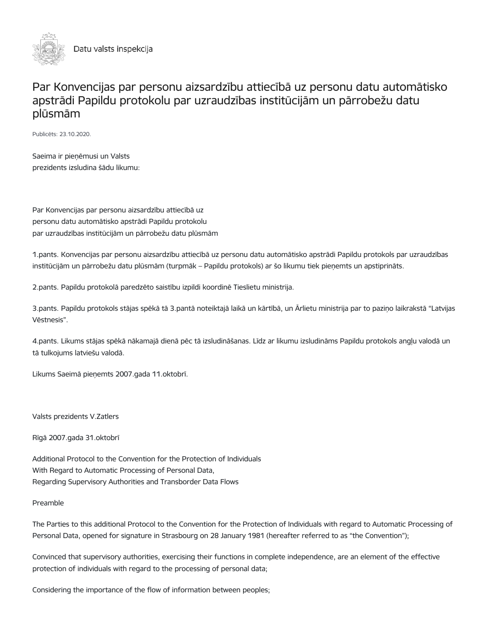

## Par Konvencijas par personu aizsardzību attiecībā uz personu datu automātisko apstrādi Papildu protokolu par uzraudzības institūcijām un pārrobežu datu plūsmām

Publicēts: 23.10.2020.

Saeima ir pieņēmusi un Valsts prezidents izsludina šādu likumu:

Par Konvencijas par personu aizsardzību attiecībā uz personu datu automātisko apstrādi Papildu protokolu par uzraudzības institūcijām un pārrobežu datu plūsmām

1.pants. Konvencijas par personu aizsardzību attiecībā uz personu datu automātisko apstrādi Papildu protokols par uzraudzības institūcijām un pārrobežu datu plūsmām (turpmāk – Papildu protokols) ar šo likumu tiek pieņemts un apstiprināts.

2.pants. Papildu protokolā paredzēto saistību izpildi koordinē Tieslietu ministrija.

3.pants. Papildu protokols stājas spēkā tā 3.pantā noteiktajā laikā un kārtībā, un Ārlietu ministrija par to paziņo laikrakstā "Latvijas Vēstnesis".

4.pants. Likums stājas spēkā nākamajā dienā pēc tā izsludināšanas. Līdz ar likumu izsludināms Papildu protokols angļu valodā un tā tulkojums latviešu valodā.

Likums Saeimā pieņemts 2007.gada 11.oktobrī.

Valsts prezidents V.Zatlers

Rīgā 2007.gada 31.oktobrī

Additional Protocol to the Convention for the Protection of Individuals With Regard to Automatic Processing of Personal Data, Regarding Supervisory Authorities and Transborder Data Flows

## Preamble

The Parties to this additional Protocol to the Convention for the Protection of Individuals with regard to Automatic Processing of Personal Data, opened for signature in Strasbourg on 28 January 1981 (hereafter referred to as "the Convention");

Convinced that supervisory authorities, exercising their functions in complete independence, are an element of the effective protection of individuals with regard to the processing of personal data;

Considering the importance of the flow of information between peoples;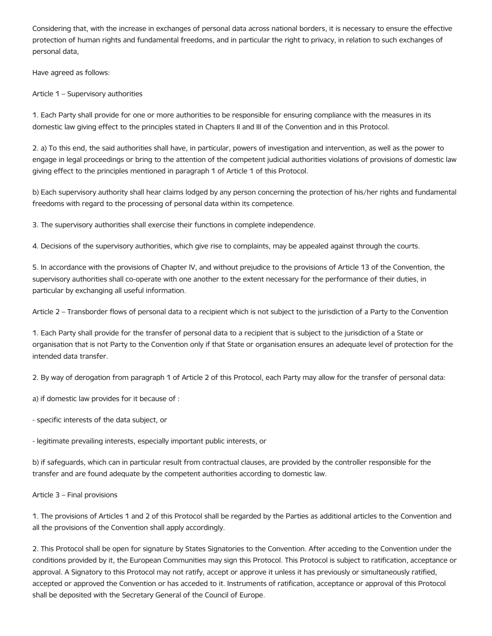Considering that, with the increase in exchanges of personal data across national borders, it is necessary to ensure the effective protection of human rights and fundamental freedoms, and in particular the right to privacy, in relation to such exchanges of personal data,

Have agreed as follows:

Article 1 – Supervisory authorities

1. Each Party shall provide for one or more authorities to be responsible for ensuring compliance with the measures in its domestic law giving effect to the principles stated in Chapters II and III of the Convention and in this Protocol.

2. a) To this end, the said authorities shall have, in particular, powers of investigation and intervention, as well as the power to engage in legal proceedings or bring to the attention of the competent judicial authorities violations of provisions of domestic law giving effect to the principles mentioned in paragraph 1 of Article 1 of this Protocol.

b) Each supervisory authority shall hear claims lodged by any person concerning the protection of his/her rights and fundamental freedoms with regard to the processing of personal data within its competence.

3. The supervisory authorities shall exercise their functions in complete independence.

4. Decisions of the supervisory authorities, which give rise to complaints, may be appealed against through the courts.

5. In accordance with the provisions of Chapter IV, and without prejudice to the provisions of Article 13 of the Convention, the supervisory authorities shall co-operate with one another to the extent necessary for the performance of their duties, in particular by exchanging all useful information.

Article 2 – Transborder flows of personal data to a recipient which is not subject to the jurisdiction of a Party to the Convention

1. Each Party shall provide for the transfer of personal data to a recipient that is subject to the jurisdiction of a State or organisation that is not Party to the Convention only if that State or organisation ensures an adequate level of protection for the intended data transfer.

2. By way of derogation from paragraph 1 of Article 2 of this Protocol, each Party may allow for the transfer of personal data:

a) if domestic law provides for it because of :

- specific interests of the data subject, or

- legitimate prevailing interests, especially important public interests, or

b) if safeguards, which can in particular result from contractual clauses, are provided by the controller responsible for the transfer and are found adequate by the competent authorities according to domestic law.

## Article 3 – Final provisions

1. The provisions of Articles 1 and 2 of this Protocol shall be regarded by the Parties as additional articles to the Convention and all the provisions of the Convention shall apply accordingly.

2. This Protocol shall be open for signature by States Signatories to the Convention. After acceding to the Convention under the conditions provided by it, the European Communities may sign this Protocol. This Protocol is subject to ratification, acceptance or approval. A Signatory to this Protocol may not ratify, accept or approve it unless it has previously or simultaneously ratified, accepted or approved the Convention or has acceded to it. Instruments of ratification, acceptance or approval of this Protocol shall be deposited with the Secretary General of the Council of Europe.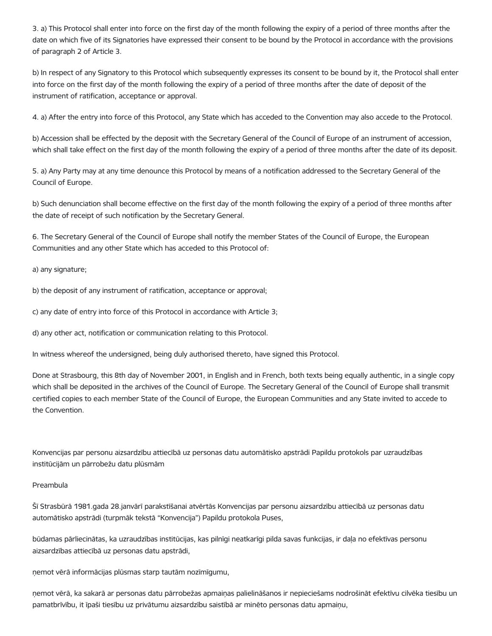3. a) This Protocol shall enter into force on the first day of the month following the expiry of a period of three months after the date on which five of its Signatories have expressed their consent to be bound by the Protocol in accordance with the provisions of paragraph 2 of Article 3.

b) In respect of any Signatory to this Protocol which subsequently expresses its consent to be bound by it, the Protocol shall enter into force on the first day of the month following the expiry of a period of three months after the date of deposit of the instrument of ratification, acceptance or approval.

4. a) After the entry into force of this Protocol, any State which has acceded to the Convention may also accede to the Protocol.

b) Accession shall be effected by the deposit with the Secretary General of the Council of Europe of an instrument of accession, which shall take effect on the first day of the month following the expiry of a period of three months after the date of its deposit.

5. a) Any Party may at any time denounce this Protocol by means of a notification addressed to the Secretary General of the Council of Europe.

b) Such denunciation shall become effective on the first day of the month following the expiry of a period of three months after the date of receipt of such notification by the Secretary General.

6. The Secretary General of the Council of Europe shall notify the member States of the Council of Europe, the European Communities and any other State which has acceded to this Protocol of:

a) any signature;

b) the deposit of any instrument of ratification, acceptance or approval;

c) any date of entry into force of this Protocol in accordance with Article 3;

d) any other act, notification or communication relating to this Protocol.

In witness whereof the undersigned, being duly authorised thereto, have signed this Protocol.

Done at Strasbourg, this 8th day of November 2001, in English and in French, both texts being equally authentic, in a single copy which shall be deposited in the archives of the Council of Europe. The Secretary General of the Council of Europe shall transmit certified copies to each member State of the Council of Europe, the European Communities and any State invited to accede to the Convention.

Konvencijas par personu aizsardzību attiecībā uz personas datu automātisko apstrādi Papildu protokols par uzraudzības institūcijām un pārrobežu datu plūsmām

## Preambula

Šī Strasbūrā 1981.gada 28.janvārī parakstīšanai atvērtās Konvencijas par personu aizsardzību attiecībā uz personas datu automātisko apstrādi (turpmāk tekstā "Konvencija") Papildu protokola Puses,

būdamas pārliecinātas, ka uzraudzības institūcijas, kas pilnīgi neatkarīgi pilda savas funkcijas, ir daļa no efektīvas personu aizsardzības attiecībā uz personas datu apstrādi,

ņemot vērā informācijas plūsmas starp tautām nozīmīgumu,

ņemot vērā, ka sakarā ar personas datu pārrobežas apmaiņas palielināšanos ir nepieciešams nodrošināt efektīvu cilvēka tiesību un pamatbrīvību, it īpaši tiesību uz privātumu aizsardzību saistībā ar minēto personas datu apmaiņu,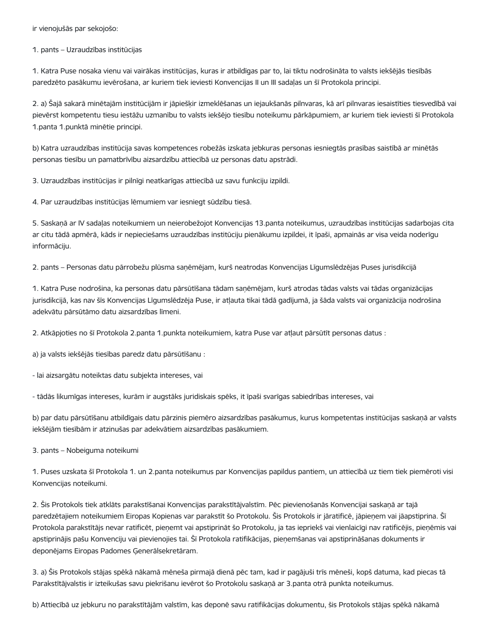ir vienojušās par sekojošo:

1. pants – Uzraudzības institūcijas

1. Katra Puse nosaka vienu vai vairākas institūcijas, kuras ir atbildīgas par to, lai tiktu nodrošināta to valsts iekšējās tiesībās paredzēto pasākumu ievērošana, ar kuriem tiek ieviesti Konvencijas II un III sadaļas un šī Protokola principi.

2. a) Šajā sakarā minētajām institūcijām ir jāpiešķir izmeklēšanas un iejaukšanās pilnvaras, kā arī pilnvaras iesaistīties tiesvedībā vai pievērst kompetentu tiesu iestāžu uzmanību to valsts iekšējo tiesību noteikumu pārkāpumiem, ar kuriem tiek ieviesti šī Protokola 1.panta 1.punktā minētie principi.

b) Katra uzraudzības institūcija savas kompetences robežās izskata jebkuras personas iesniegtās prasības saistībā ar minētās personas tiesību un pamatbrīvību aizsardzību attiecībā uz personas datu apstrādi.

3. Uzraudzības institūcijas ir pilnīgi neatkarīgas attiecībā uz savu funkciju izpildi.

4. Par uzraudzības institūcijas lēmumiem var iesniegt sūdzību tiesā.

5. Saskaņā ar IV sadaļas noteikumiem un neierobežojot Konvencijas 13.panta noteikumus, uzraudzības institūcijas sadarbojas cita ar citu tādā apmērā, kāds ir nepieciešams uzraudzības institūciju pienākumu izpildei, it īpaši, apmainās ar visa veida noderīgu informāciju.

2. pants – Personas datu pārrobežu plūsma saņēmējam, kurš neatrodas Konvencijas Līgumslēdzējas Puses jurisdikcijā

1. Katra Puse nodrošina, ka personas datu pārsūtīšana tādam saņēmējam, kurš atrodas tādas valsts vai tādas organizācijas jurisdikcijā, kas nav šīs Konvencijas Līgumslēdzēja Puse, ir atļauta tikai tādā gadījumā, ja šāda valsts vai organizācija nodrošina adekvātu pārsūtāmo datu aizsardzības līmeni.

2. Atkāpjoties no šī Protokola 2.panta 1.punkta noteikumiem, katra Puse var atļaut pārsūtīt personas datus :

a) ja valsts iekšējās tiesības paredz datu pārsūtīšanu :

- lai aizsargātu noteiktas datu subjekta intereses, vai

- tādās likumīgas intereses, kurām ir augstāks juridiskais spēks, it īpaši svarīgas sabiedrības intereses, vai

b) par datu pārsūtīšanu atbildīgais datu pārzinis piemēro aizsardzības pasākumus, kurus kompetentas institūcijas saskaņā ar valsts iekšējām tiesībām ir atzinušas par adekvātiem aizsardzības pasākumiem.

3. pants – Nobeiguma noteikumi

1. Puses uzskata šī Protokola 1. un 2.panta noteikumus par Konvencijas papildus pantiem, un attiecībā uz tiem tiek piemēroti visi Konvencijas noteikumi.

2. Šis Protokols tiek atklāts parakstīšanai Konvencijas parakstītājvalstīm. Pēc pievienošanās Konvencijai saskaņā ar tajā paredzētajiem noteikumiem Eiropas Kopienas var parakstīt šo Protokolu. Šis Protokols ir jāratificē, jāpieņem vai jāapstiprina. Šī Protokola parakstītājs nevar ratificēt, pieņemt vai apstiprināt šo Protokolu, ja tas iepriekš vai vienlaicīgi nav ratificējis, pieņēmis vai apstiprinājis pašu Konvenciju vai pievienojies tai. Šī Protokola ratifikācijas, pieņemšanas vai apstiprināšanas dokuments ir deponējams Eiropas Padomes Ģenerālsekretāram.

3. a) Šis Protokols stājas spēkā nākamā mēneša pirmajā dienā pēc tam, kad ir pagājuši trīs mēneši, kopš datuma, kad piecas tā Parakstītājvalstis ir izteikušas savu piekrišanu ievērot šo Protokolu saskaņā ar 3.panta otrā punkta noteikumus.

b) Attiecībā uz jebkuru no parakstītājām valstīm, kas deponē savu ratifikācijas dokumentu, šis Protokols stājas spēkā nākamā